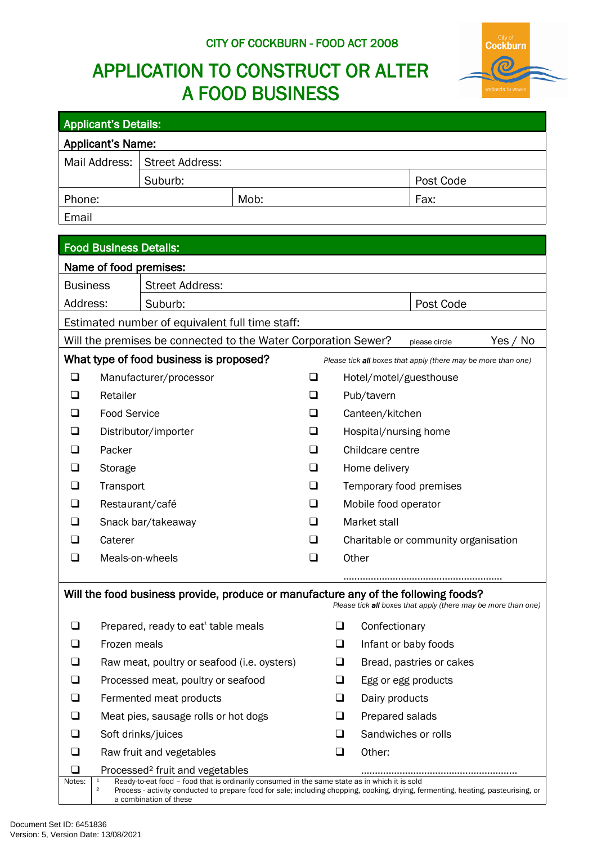# **CITY OF COCKBURN - FOOD ACT 2008**

# **APPLICATION TO CONSTRUCT OR ALTER A FOOD BUSINESS**



| <b>Applicant's Details:</b>                                                                              |                                                                                                                                                                                                                                                                                                                                                        |                                                                                    |      |        |                 |                                      |                                                               |  |  |  |
|----------------------------------------------------------------------------------------------------------|--------------------------------------------------------------------------------------------------------------------------------------------------------------------------------------------------------------------------------------------------------------------------------------------------------------------------------------------------------|------------------------------------------------------------------------------------|------|--------|-----------------|--------------------------------------|---------------------------------------------------------------|--|--|--|
|                                                                                                          | <b>Applicant's Name:</b>                                                                                                                                                                                                                                                                                                                               |                                                                                    |      |        |                 |                                      |                                                               |  |  |  |
|                                                                                                          | Mail Address:                                                                                                                                                                                                                                                                                                                                          | <b>Street Address:</b>                                                             |      |        |                 |                                      |                                                               |  |  |  |
|                                                                                                          |                                                                                                                                                                                                                                                                                                                                                        | Suburb:                                                                            |      |        |                 |                                      | Post Code                                                     |  |  |  |
| Phone:                                                                                                   |                                                                                                                                                                                                                                                                                                                                                        |                                                                                    | Mob: |        |                 |                                      | Fax:                                                          |  |  |  |
| Email                                                                                                    |                                                                                                                                                                                                                                                                                                                                                        |                                                                                    |      |        |                 |                                      |                                                               |  |  |  |
|                                                                                                          |                                                                                                                                                                                                                                                                                                                                                        |                                                                                    |      |        |                 |                                      |                                                               |  |  |  |
| <b>Food Business Details:</b>                                                                            |                                                                                                                                                                                                                                                                                                                                                        |                                                                                    |      |        |                 |                                      |                                                               |  |  |  |
| Name of food premises:                                                                                   |                                                                                                                                                                                                                                                                                                                                                        |                                                                                    |      |        |                 |                                      |                                                               |  |  |  |
| <b>Business</b>                                                                                          |                                                                                                                                                                                                                                                                                                                                                        | <b>Street Address:</b>                                                             |      |        |                 |                                      |                                                               |  |  |  |
| Address:                                                                                                 |                                                                                                                                                                                                                                                                                                                                                        | Suburb:                                                                            |      |        |                 |                                      | Post Code                                                     |  |  |  |
| Estimated number of equivalent full time staff:                                                          |                                                                                                                                                                                                                                                                                                                                                        |                                                                                    |      |        |                 |                                      |                                                               |  |  |  |
| Will the premises be connected to the Water Corporation Sewer?<br>Yes / No<br>please circle              |                                                                                                                                                                                                                                                                                                                                                        |                                                                                    |      |        |                 |                                      |                                                               |  |  |  |
| What type of food business is proposed?<br>Please tick all boxes that apply (there may be more than one) |                                                                                                                                                                                                                                                                                                                                                        |                                                                                    |      |        |                 |                                      |                                                               |  |  |  |
| ப                                                                                                        |                                                                                                                                                                                                                                                                                                                                                        | Manufacturer/processor                                                             |      |        |                 | Hotel/motel/guesthouse               |                                                               |  |  |  |
|                                                                                                          | Retailer                                                                                                                                                                                                                                                                                                                                               |                                                                                    |      |        |                 | Pub/tavern                           |                                                               |  |  |  |
|                                                                                                          | <b>Food Service</b>                                                                                                                                                                                                                                                                                                                                    |                                                                                    | ┚    |        | Canteen/kitchen |                                      |                                                               |  |  |  |
|                                                                                                          | Distributor/importer                                                                                                                                                                                                                                                                                                                                   |                                                                                    |      | ⊔      |                 | Hospital/nursing home                |                                                               |  |  |  |
|                                                                                                          | Packer                                                                                                                                                                                                                                                                                                                                                 |                                                                                    |      | $\Box$ |                 | Childcare centre                     |                                                               |  |  |  |
|                                                                                                          | Storage                                                                                                                                                                                                                                                                                                                                                |                                                                                    |      | ❏      |                 | Home delivery                        |                                                               |  |  |  |
|                                                                                                          | Transport                                                                                                                                                                                                                                                                                                                                              |                                                                                    |      | ❏      |                 | Temporary food premises              |                                                               |  |  |  |
|                                                                                                          | Restaurant/café                                                                                                                                                                                                                                                                                                                                        |                                                                                    |      | ப      |                 | Mobile food operator                 |                                                               |  |  |  |
|                                                                                                          | Snack bar/takeaway                                                                                                                                                                                                                                                                                                                                     |                                                                                    |      |        |                 | Market stall                         |                                                               |  |  |  |
|                                                                                                          | Caterer                                                                                                                                                                                                                                                                                                                                                |                                                                                    |      |        |                 | Charitable or community organisation |                                                               |  |  |  |
|                                                                                                          | Meals-on-wheels                                                                                                                                                                                                                                                                                                                                        |                                                                                    |      |        |                 | Other                                |                                                               |  |  |  |
|                                                                                                          |                                                                                                                                                                                                                                                                                                                                                        |                                                                                    |      |        |                 |                                      |                                                               |  |  |  |
|                                                                                                          |                                                                                                                                                                                                                                                                                                                                                        | Will the food business provide, produce or manufacture any of the following foods? |      |        |                 |                                      | Please tick all boxes that apply (there may be more than one) |  |  |  |
| ப                                                                                                        |                                                                                                                                                                                                                                                                                                                                                        | Prepared, ready to eat <sup>1</sup> table meals                                    |      |        | □               | Confectionary                        |                                                               |  |  |  |
| ப                                                                                                        | Frozen meals                                                                                                                                                                                                                                                                                                                                           |                                                                                    |      |        | ❏               | Infant or baby foods                 |                                                               |  |  |  |
|                                                                                                          |                                                                                                                                                                                                                                                                                                                                                        | Raw meat, poultry or seafood (i.e. oysters)                                        |      |        | ❏               |                                      | Bread, pastries or cakes                                      |  |  |  |
| ப                                                                                                        |                                                                                                                                                                                                                                                                                                                                                        | Processed meat, poultry or seafood                                                 |      |        | ❏               | Egg or egg products                  |                                                               |  |  |  |
| ப                                                                                                        |                                                                                                                                                                                                                                                                                                                                                        | Fermented meat products                                                            |      |        | ❏               | Dairy products                       |                                                               |  |  |  |
| ப                                                                                                        | Meat pies, sausage rolls or hot dogs                                                                                                                                                                                                                                                                                                                   |                                                                                    |      |        | ❏               | Prepared salads                      |                                                               |  |  |  |
| ப                                                                                                        |                                                                                                                                                                                                                                                                                                                                                        | Soft drinks/juices                                                                 |      |        | ❏               | Sandwiches or rolls                  |                                                               |  |  |  |
| ப                                                                                                        |                                                                                                                                                                                                                                                                                                                                                        | Raw fruit and vegetables                                                           |      |        | ❏               | Other:                               |                                                               |  |  |  |
| ப<br>Notes:                                                                                              | Processed <sup>2</sup> fruit and vegetables<br>Ready-to-eat food - food that is ordinarily consumed in the same state as in which it is sold<br>$\mathbf{1}$<br>$\overline{\mathbf{c}}$<br>Process - activity conducted to prepare food for sale; including chopping, cooking, drying, fermenting, heating, pasteurising, or<br>a combination of these |                                                                                    |      |        |                 |                                      |                                                               |  |  |  |

 $\overline{\phantom{a}}$